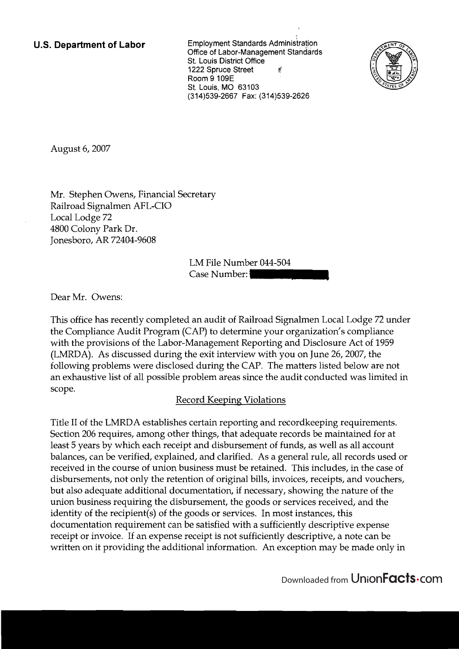**U.S. Department of Labor** Employment Standards Administration Office of Labor-Management Standards St. Louis District Office 1222 Spruce Street  $\mathcal{U}$ Room 9 109E St. Louis, MO 63103 (314)539-2667 Fax: (314)539-2626



August 6,2007

Mr. Stephen Owens, Financial Secretary Railroad Signalmen AFL-CIO Local Lodge 72 4800 Colony Park Dr. Jonesboro, AR 72404-9608

> LM File Number 044-504 Case Number:

Dear Mr. Owens:

This office has recently completed an audit of Railroad Signalmen Local Lodge 72 under the Compliance Audit Program (CAP) to determine your organization's compliance with the provisions of the Labor-Management Reporting and Disclosure Act of 1959 (LMRDA). As discussed during the exit interview with you on June 26,2007, the following problems were disclosed during the CAP. The matters listed below are not an exhaustive list of all possible problem areas since the audit conducted was limited in scope.

## Record Keeping Violations

Title I1 of the LMRDA establishes certain reporting and recordkeeping requirements. Section 206 requires, among other things, that adequate records be maintained for at least 5 years by which each receipt and disbursement of funds, as well as all account balances, can be verified, explained, and clarified. As a general rule, all records used or received in the course of union business must be retained. This includes, in the case of disbursements, not only the retention of original bills, invoices, receipts, and vouchers, but also adequate additional documentation, if necessary, showing the nature of the union business requiring the disbursement, the goods or services received, and the identity of the recipient(s) of the goods or services. In most instances, this documentation requirement can be satisfied with a sufficiently descriptive expense receipt or invoice. If an expense receipt is not sufficiently descriptive, a note can be written on it providing the additional information. An exception may be made only in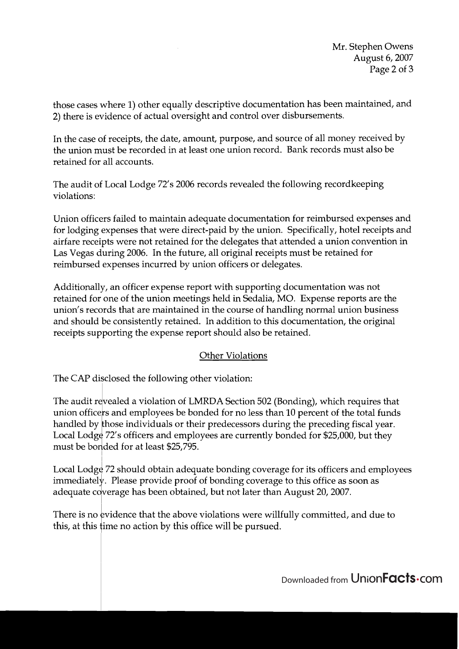Mr. Stephen Owens August 6,2007 Page 2 of **3** 

those cases where 1) other equally descriptive documentation has been maintained, and 2) there is evidence of actual oversight and control over disbursements.

In the case of receipts, the date, amount, purpose, and source of all money received by the union must be recorded in at least one union record. Bank records must also be retained for all accounts.

The audit of Local Lodge 72's 2006 records revealed the following recordkeeping violations:

Union officers failed to maintain adequate documentation for reimbursed expenses and for lodging expenses that were direct-paid by the union. Specifically, hotel receipts and airfare receipts were not retained for the delegates that attended a union convention in Las Vegas during 2006. In the future, all original receipts must be retained for reimbursed expenses incurred by union officers or delegates.

Additionally, an officer expense report with supporting documentation was not retained for one of the union meetings held in Sedalia, MO. Expense reports are the union's records that are maintained in the course of handling normal union business and should be consistently retained. In addition to this documentation, the original receipts supporting the expense report should also be retained.

## Other Violations

The CAP disclosed the following other violation:

The audit revealed a violation of LMRDA Section 502 (Bonding), which requires that union officers and employees be bonded for no less than 10 percent of the total funds handled by those individuals or their predecessors during the preceding fiscal year. Local Lodge 72's officers and employees are currently bonded for \$25,000, but they must be bonded for at least \$25,795.

Local Lodge 72 should obtain adequate bonding coverage for its officers and employees immediately. Please provide proof of bonding coverage to this office as soon as adequate coverage has been obtained, but not later than August 20, 2007.

There is no evidence that the above violations were willfully committed, and due to this, at this time no action by this office will be pursued.